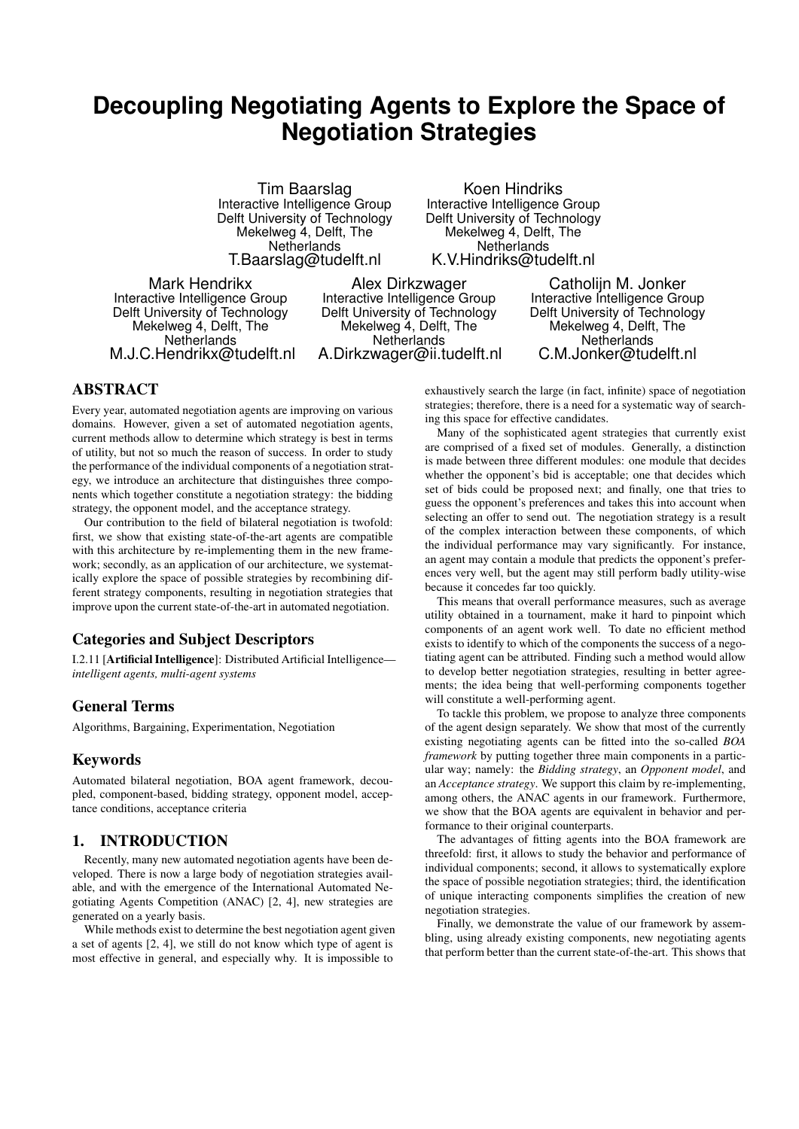# **Decoupling Negotiating Agents to Explore the Space of Negotiation Strategies**

Tim Baarslag Interactive Intelligence Group Delft University of Technology Mekelweg 4, Delft, The **Netherlands** T.Baarslag@tudelft.nl

Koen Hindriks Interactive Intelligence Group Delft University of Technology Mekelweg 4, Delft, The **Netherlands** K.V.Hindriks@tudelft.nl

Mark Hendrikx Interactive Intelligence Group Delft University of Technology Mekelweg 4, Delft, The **Netherlands** M.J.C.Hendrikx@tudelft.nl

Alex Dirkzwager Interactive Intelligence Group Delft University of Technology Mekelweg 4, Delft, The **Netherlands** A.Dirkzwager@ii.tudelft.nl

Catholijn M. Jonker Interactive Intelligence Group Delft University of Technology Mekelweg 4, Delft, The **Netherlands** C.M.Jonker@tudelft.nl

# ABSTRACT

Every year, automated negotiation agents are improving on various domains. However, given a set of automated negotiation agents, current methods allow to determine which strategy is best in terms of utility, but not so much the reason of success. In order to study the performance of the individual components of a negotiation strategy, we introduce an architecture that distinguishes three components which together constitute a negotiation strategy: the bidding strategy, the opponent model, and the acceptance strategy.

Our contribution to the field of bilateral negotiation is twofold: first, we show that existing state-of-the-art agents are compatible with this architecture by re-implementing them in the new framework; secondly, as an application of our architecture, we systematically explore the space of possible strategies by recombining different strategy components, resulting in negotiation strategies that improve upon the current state-of-the-art in automated negotiation.

# Categories and Subject Descriptors

I.2.11 [Artificial Intelligence]: Distributed Artificial Intelligence *intelligent agents, multi-agent systems*

#### General Terms

Algorithms, Bargaining, Experimentation, Negotiation

### Keywords

Automated bilateral negotiation, BOA agent framework, decoupled, component-based, bidding strategy, opponent model, acceptance conditions, acceptance criteria

# 1. INTRODUCTION

Recently, many new automated negotiation agents have been developed. There is now a large body of negotiation strategies available, and with the emergence of the International Automated Negotiating Agents Competition (ANAC) [2, 4], new strategies are generated on a yearly basis.

While methods exist to determine the best negotiation agent given a set of agents [2, 4], we still do not know which type of agent is most effective in general, and especially why. It is impossible to

exhaustively search the large (in fact, infinite) space of negotiation strategies; therefore, there is a need for a systematic way of searching this space for effective candidates.

Many of the sophisticated agent strategies that currently exist are comprised of a fixed set of modules. Generally, a distinction is made between three different modules: one module that decides whether the opponent's bid is acceptable; one that decides which set of bids could be proposed next; and finally, one that tries to guess the opponent's preferences and takes this into account when selecting an offer to send out. The negotiation strategy is a result of the complex interaction between these components, of which the individual performance may vary significantly. For instance, an agent may contain a module that predicts the opponent's preferences very well, but the agent may still perform badly utility-wise because it concedes far too quickly.

This means that overall performance measures, such as average utility obtained in a tournament, make it hard to pinpoint which components of an agent work well. To date no efficient method exists to identify to which of the components the success of a negotiating agent can be attributed. Finding such a method would allow to develop better negotiation strategies, resulting in better agreements; the idea being that well-performing components together will constitute a well-performing agent.

To tackle this problem, we propose to analyze three components of the agent design separately. We show that most of the currently existing negotiating agents can be fitted into the so-called *BOA framework* by putting together three main components in a particular way; namely: the *Bidding strategy*, an *Opponent model*, and an *Acceptance strategy*. We support this claim by re-implementing, among others, the ANAC agents in our framework. Furthermore, we show that the BOA agents are equivalent in behavior and performance to their original counterparts.

The advantages of fitting agents into the BOA framework are threefold: first, it allows to study the behavior and performance of individual components; second, it allows to systematically explore the space of possible negotiation strategies; third, the identification of unique interacting components simplifies the creation of new negotiation strategies.

Finally, we demonstrate the value of our framework by assembling, using already existing components, new negotiating agents that perform better than the current state-of-the-art. This shows that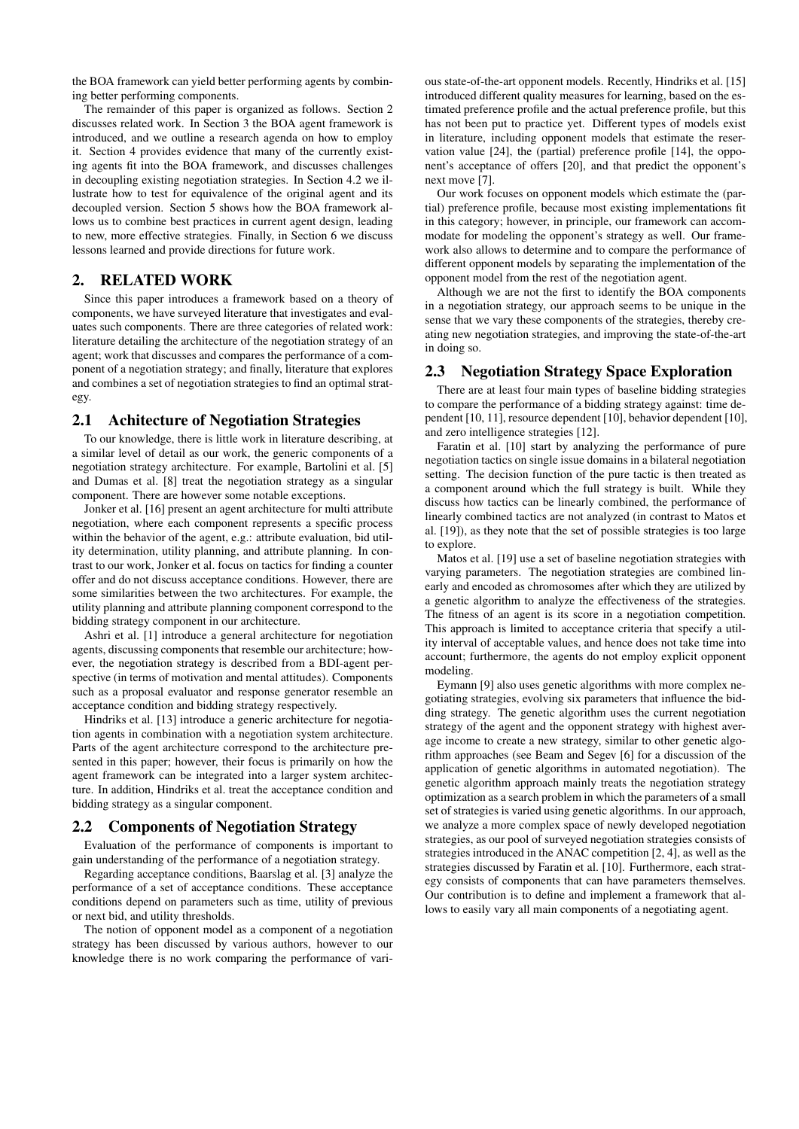the BOA framework can yield better performing agents by combining better performing components.

The remainder of this paper is organized as follows. Section 2 discusses related work. In Section 3 the BOA agent framework is introduced, and we outline a research agenda on how to employ it. Section 4 provides evidence that many of the currently existing agents fit into the BOA framework, and discusses challenges in decoupling existing negotiation strategies. In Section 4.2 we illustrate how to test for equivalence of the original agent and its decoupled version. Section 5 shows how the BOA framework allows us to combine best practices in current agent design, leading to new, more effective strategies. Finally, in Section 6 we discuss lessons learned and provide directions for future work.

# 2. RELATED WORK

Since this paper introduces a framework based on a theory of components, we have surveyed literature that investigates and evaluates such components. There are three categories of related work: literature detailing the architecture of the negotiation strategy of an agent; work that discusses and compares the performance of a component of a negotiation strategy; and finally, literature that explores and combines a set of negotiation strategies to find an optimal strategy.

# 2.1 Achitecture of Negotiation Strategies

To our knowledge, there is little work in literature describing, at a similar level of detail as our work, the generic components of a negotiation strategy architecture. For example, Bartolini et al. [5] and Dumas et al. [8] treat the negotiation strategy as a singular component. There are however some notable exceptions.

Jonker et al. [16] present an agent architecture for multi attribute negotiation, where each component represents a specific process within the behavior of the agent, e.g.: attribute evaluation, bid utility determination, utility planning, and attribute planning. In contrast to our work, Jonker et al. focus on tactics for finding a counter offer and do not discuss acceptance conditions. However, there are some similarities between the two architectures. For example, the utility planning and attribute planning component correspond to the bidding strategy component in our architecture.

Ashri et al. [1] introduce a general architecture for negotiation agents, discussing components that resemble our architecture; however, the negotiation strategy is described from a BDI-agent perspective (in terms of motivation and mental attitudes). Components such as a proposal evaluator and response generator resemble an acceptance condition and bidding strategy respectively.

Hindriks et al. [13] introduce a generic architecture for negotiation agents in combination with a negotiation system architecture. Parts of the agent architecture correspond to the architecture presented in this paper; however, their focus is primarily on how the agent framework can be integrated into a larger system architecture. In addition, Hindriks et al. treat the acceptance condition and bidding strategy as a singular component.

# 2.2 Components of Negotiation Strategy

Evaluation of the performance of components is important to gain understanding of the performance of a negotiation strategy.

Regarding acceptance conditions, Baarslag et al. [3] analyze the performance of a set of acceptance conditions. These acceptance conditions depend on parameters such as time, utility of previous or next bid, and utility thresholds.

The notion of opponent model as a component of a negotiation strategy has been discussed by various authors, however to our knowledge there is no work comparing the performance of vari-

ous state-of-the-art opponent models. Recently, Hindriks et al. [15] introduced different quality measures for learning, based on the estimated preference profile and the actual preference profile, but this has not been put to practice yet. Different types of models exist in literature, including opponent models that estimate the reservation value [24], the (partial) preference profile [14], the opponent's acceptance of offers [20], and that predict the opponent's next move [7].

Our work focuses on opponent models which estimate the (partial) preference profile, because most existing implementations fit in this category; however, in principle, our framework can accommodate for modeling the opponent's strategy as well. Our framework also allows to determine and to compare the performance of different opponent models by separating the implementation of the opponent model from the rest of the negotiation agent.

Although we are not the first to identify the BOA components in a negotiation strategy, our approach seems to be unique in the sense that we vary these components of the strategies, thereby creating new negotiation strategies, and improving the state-of-the-art in doing so.

### 2.3 Negotiation Strategy Space Exploration

There are at least four main types of baseline bidding strategies to compare the performance of a bidding strategy against: time dependent [10, 11], resource dependent [10], behavior dependent [10], and zero intelligence strategies [12].

Faratin et al. [10] start by analyzing the performance of pure negotiation tactics on single issue domains in a bilateral negotiation setting. The decision function of the pure tactic is then treated as a component around which the full strategy is built. While they discuss how tactics can be linearly combined, the performance of linearly combined tactics are not analyzed (in contrast to Matos et al. [19]), as they note that the set of possible strategies is too large to explore.

Matos et al. [19] use a set of baseline negotiation strategies with varying parameters. The negotiation strategies are combined linearly and encoded as chromosomes after which they are utilized by a genetic algorithm to analyze the effectiveness of the strategies. The fitness of an agent is its score in a negotiation competition. This approach is limited to acceptance criteria that specify a utility interval of acceptable values, and hence does not take time into account; furthermore, the agents do not employ explicit opponent modeling.

Eymann [9] also uses genetic algorithms with more complex negotiating strategies, evolving six parameters that influence the bidding strategy. The genetic algorithm uses the current negotiation strategy of the agent and the opponent strategy with highest average income to create a new strategy, similar to other genetic algorithm approaches (see Beam and Segev [6] for a discussion of the application of genetic algorithms in automated negotiation). The genetic algorithm approach mainly treats the negotiation strategy optimization as a search problem in which the parameters of a small set of strategies is varied using genetic algorithms. In our approach, we analyze a more complex space of newly developed negotiation strategies, as our pool of surveyed negotiation strategies consists of strategies introduced in the ANAC competition [2, 4], as well as the strategies discussed by Faratin et al. [10]. Furthermore, each strategy consists of components that can have parameters themselves. Our contribution is to define and implement a framework that allows to easily vary all main components of a negotiating agent.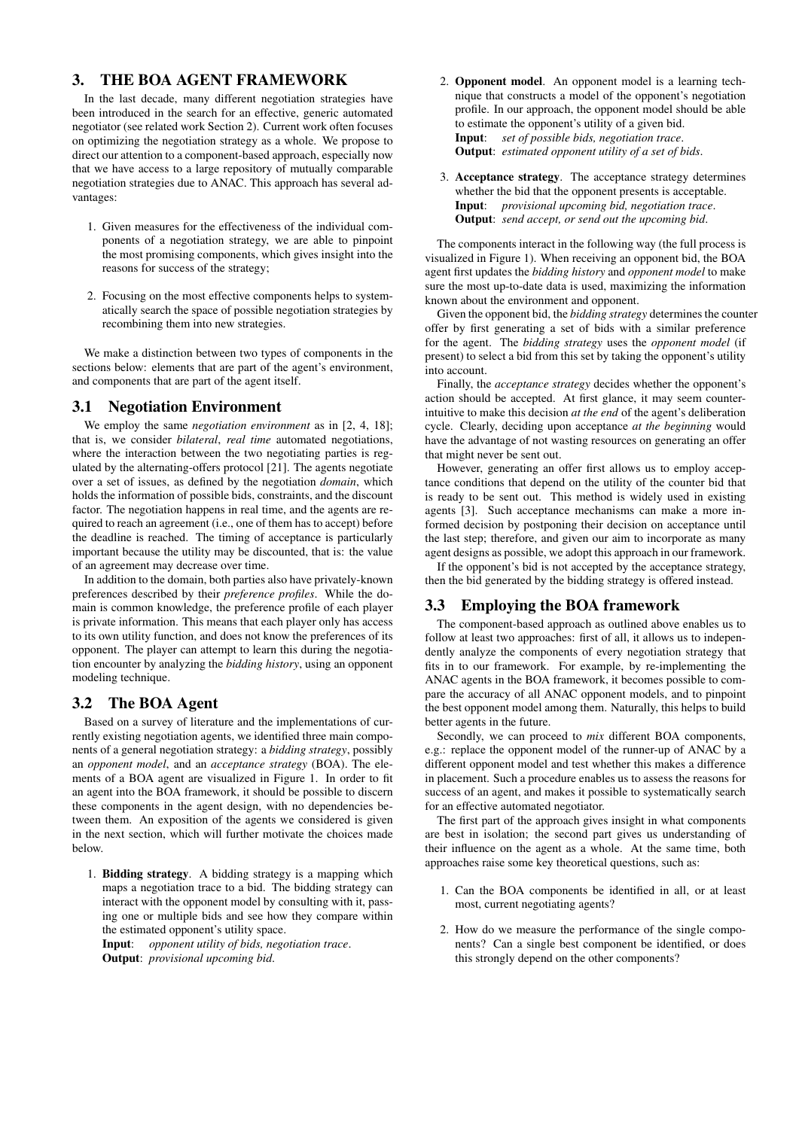# 3. THE BOA AGENT FRAMEWORK

In the last decade, many different negotiation strategies have been introduced in the search for an effective, generic automated negotiator (see related work Section 2). Current work often focuses on optimizing the negotiation strategy as a whole. We propose to direct our attention to a component-based approach, especially now that we have access to a large repository of mutually comparable negotiation strategies due to ANAC. This approach has several advantages:

- 1. Given measures for the effectiveness of the individual components of a negotiation strategy, we are able to pinpoint the most promising components, which gives insight into the reasons for success of the strategy;
- 2. Focusing on the most effective components helps to systematically search the space of possible negotiation strategies by recombining them into new strategies.

We make a distinction between two types of components in the sections below: elements that are part of the agent's environment, and components that are part of the agent itself.

#### 3.1 Negotiation Environment

We employ the same *negotiation environment* as in [2, 4, 18]; that is, we consider *bilateral*, *real time* automated negotiations, where the interaction between the two negotiating parties is regulated by the alternating-offers protocol [21]. The agents negotiate over a set of issues, as defined by the negotiation *domain*, which holds the information of possible bids, constraints, and the discount factor. The negotiation happens in real time, and the agents are required to reach an agreement (i.e., one of them has to accept) before the deadline is reached. The timing of acceptance is particularly important because the utility may be discounted, that is: the value of an agreement may decrease over time.

In addition to the domain, both parties also have privately-known preferences described by their *preference profiles*. While the domain is common knowledge, the preference profile of each player is private information. This means that each player only has access to its own utility function, and does not know the preferences of its opponent. The player can attempt to learn this during the negotiation encounter by analyzing the *bidding history*, using an opponent modeling technique.

#### 3.2 The BOA Agent

Based on a survey of literature and the implementations of currently existing negotiation agents, we identified three main components of a general negotiation strategy: a *bidding strategy*, possibly an *opponent model*, and an *acceptance strategy* (BOA). The elements of a BOA agent are visualized in Figure 1. In order to fit an agent into the BOA framework, it should be possible to discern these components in the agent design, with no dependencies between them. An exposition of the agents we considered is given in the next section, which will further motivate the choices made below.

1. Bidding strategy. A bidding strategy is a mapping which maps a negotiation trace to a bid. The bidding strategy can interact with the opponent model by consulting with it, passing one or multiple bids and see how they compare within the estimated opponent's utility space.

Input: *opponent utility of bids, negotiation trace*. Output: *provisional upcoming bid*.

- 2. Opponent model. An opponent model is a learning technique that constructs a model of the opponent's negotiation profile. In our approach, the opponent model should be able to estimate the opponent's utility of a given bid. Input: *set of possible bids, negotiation trace*. Output: *estimated opponent utility of a set of bids*.
- 3. Acceptance strategy. The acceptance strategy determines whether the bid that the opponent presents is acceptable. Input: *provisional upcoming bid, negotiation trace*. Output: *send accept, or send out the upcoming bid*.

The components interact in the following way (the full process is visualized in Figure 1). When receiving an opponent bid, the BOA agent first updates the *bidding history* and *opponent model* to make sure the most up-to-date data is used, maximizing the information known about the environment and opponent.

Given the opponent bid, the *bidding strategy* determines the counter offer by first generating a set of bids with a similar preference for the agent. The *bidding strategy* uses the *opponent model* (if present) to select a bid from this set by taking the opponent's utility into account.

Finally, the *acceptance strategy* decides whether the opponent's action should be accepted. At first glance, it may seem counterintuitive to make this decision *at the end* of the agent's deliberation cycle. Clearly, deciding upon acceptance *at the beginning* would have the advantage of not wasting resources on generating an offer that might never be sent out.

However, generating an offer first allows us to employ acceptance conditions that depend on the utility of the counter bid that is ready to be sent out. This method is widely used in existing agents [3]. Such acceptance mechanisms can make a more informed decision by postponing their decision on acceptance until the last step; therefore, and given our aim to incorporate as many agent designs as possible, we adopt this approach in our framework.

If the opponent's bid is not accepted by the acceptance strategy, then the bid generated by the bidding strategy is offered instead.

### 3.3 Employing the BOA framework

The component-based approach as outlined above enables us to follow at least two approaches: first of all, it allows us to independently analyze the components of every negotiation strategy that fits in to our framework. For example, by re-implementing the ANAC agents in the BOA framework, it becomes possible to compare the accuracy of all ANAC opponent models, and to pinpoint the best opponent model among them. Naturally, this helps to build better agents in the future.

Secondly, we can proceed to *mix* different BOA components, e.g.: replace the opponent model of the runner-up of ANAC by a different opponent model and test whether this makes a difference in placement. Such a procedure enables us to assess the reasons for success of an agent, and makes it possible to systematically search for an effective automated negotiator.

The first part of the approach gives insight in what components are best in isolation; the second part gives us understanding of their influence on the agent as a whole. At the same time, both approaches raise some key theoretical questions, such as:

- 1. Can the BOA components be identified in all, or at least most, current negotiating agents?
- 2. How do we measure the performance of the single components? Can a single best component be identified, or does this strongly depend on the other components?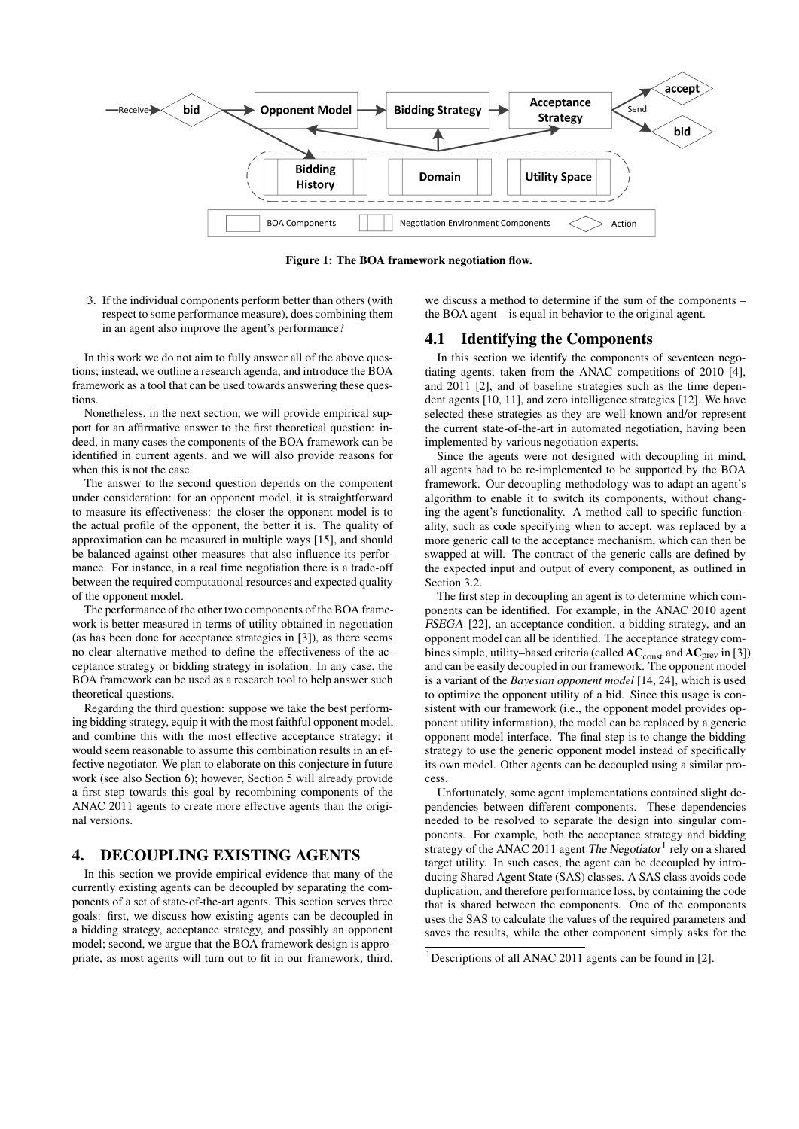

Figure 1: The BOA framework negotiation flow.

3. If the individual components perform better than others (with respect to some performance measure), does combining them in an agent also improve the agent's performance?

In this work we do not aim to fully answer all of the above questions; instead, we outline a research agenda, and introduce the BOA framework as a tool that can be used towards answering these questions.

Nonetheless, in the next section, we will provide empirical support for an affirmative answer to the first theoretical question: indeed, in many cases the components of the BOA framework can be identified in current agents, and we will also provide reasons for when this is not the case.

The answer to the second question depends on the component under consideration: for an opponent model, it is straightforward to measure its effectiveness: the closer the opponent model is to the actual profile of the opponent, the better it is. The quality of approximation can be measured in multiple ways [15], and should be balanced against other measures that also influence its performance. For instance, in a real time negotiation there is a trade-off between the required computational resources and expected quality of the opponent model.

The performance of the other two components of the BOA framework is better measured in terms of utility obtained in negotiation (as has been done for acceptance strategies in [3]), as there seems no clear alternative method to define the effectiveness of the acceptance strategy or bidding strategy in isolation. In any case, the BOA framework can be used as a research tool to help answer such theoretical questions.

Regarding the third question: suppose we take the best performing bidding strategy, equip it with the most faithful opponent model, and combine this with the most effective acceptance strategy; it would seem reasonable to assume this combination results in an effective negotiator. We plan to elaborate on this conjecture in future work (see also Section 6); however, Section 5 will already provide a first step towards this goal by recombining components of the ANAC 2011 agents to create more effective agents than the original versions.

#### 4. DECOUPLING EXISTING AGENTS

In this section we provide empirical evidence that many of the currently existing agents can be decoupled by separating the components of a set of state-of-the-art agents. This section serves three goals: first, we discuss how existing agents can be decoupled in a bidding strategy, acceptance strategy, and possibly an opponent model; second, we argue that the BOA framework design is appropriate, as most agents will turn out to fit in our framework; third,

we discuss a method to determine if the sum of the components – the BOA agent – is equal in behavior to the original agent.

### 4.1 Identifying the Components

In this section we identify the components of seventeen negotiating agents, taken from the ANAC competitions of 2010 [4], and 2011 [2], and of baseline strategies such as the time dependent agents [10, 11], and zero intelligence strategies [12]. We have selected these strategies as they are well-known and/or represent the current state-of-the-art in automated negotiation, having been implemented by various negotiation experts.

Since the agents were not designed with decoupling in mind, all agents had to be re-implemented to be supported by the BOA framework. Our decoupling methodology was to adapt an agent's algorithm to enable it to switch its components, without changing the agent's functionality. A method call to specific functionality, such as code specifying when to accept, was replaced by a more generic call to the acceptance mechanism, which can then be swapped at will. The contract of the generic calls are defined by the expected input and output of every component, as outlined in Section 3.2.

The first step in decoupling an agent is to determine which components can be identified. For example, in the ANAC 2010 agent FSEGA [22], an acceptance condition, a bidding strategy, and an opponent model can all be identified. The acceptance strategy combines simple, utility–based criteria (called  $AC_{\text{const}}$  and  $AC_{\text{prev}}$  in [3]) and can be easily decoupled in our framework. The opponent model is a variant of the *Bayesian opponent model* [14, 24], which is used to optimize the opponent utility of a bid. Since this usage is consistent with our framework (i.e., the opponent model provides opponent utility information), the model can be replaced by a generic opponent model interface. The final step is to change the bidding strategy to use the generic opponent model instead of specifically its own model. Other agents can be decoupled using a similar process.

Unfortunately, some agent implementations contained slight dependencies between different components. These dependencies needed to be resolved to separate the design into singular components. For example, both the acceptance strategy and bidding strategy of the ANAC 2011 agent The Negotiator<sup>1</sup> rely on a shared target utility. In such cases, the agent can be decoupled by introducing Shared Agent State (SAS) classes. A SAS class avoids code duplication, and therefore performance loss, by containing the code that is shared between the components. One of the components uses the SAS to calculate the values of the required parameters and saves the results, while the other component simply asks for the

<sup>&</sup>lt;sup>1</sup>Descriptions of all ANAC 2011 agents can be found in [2].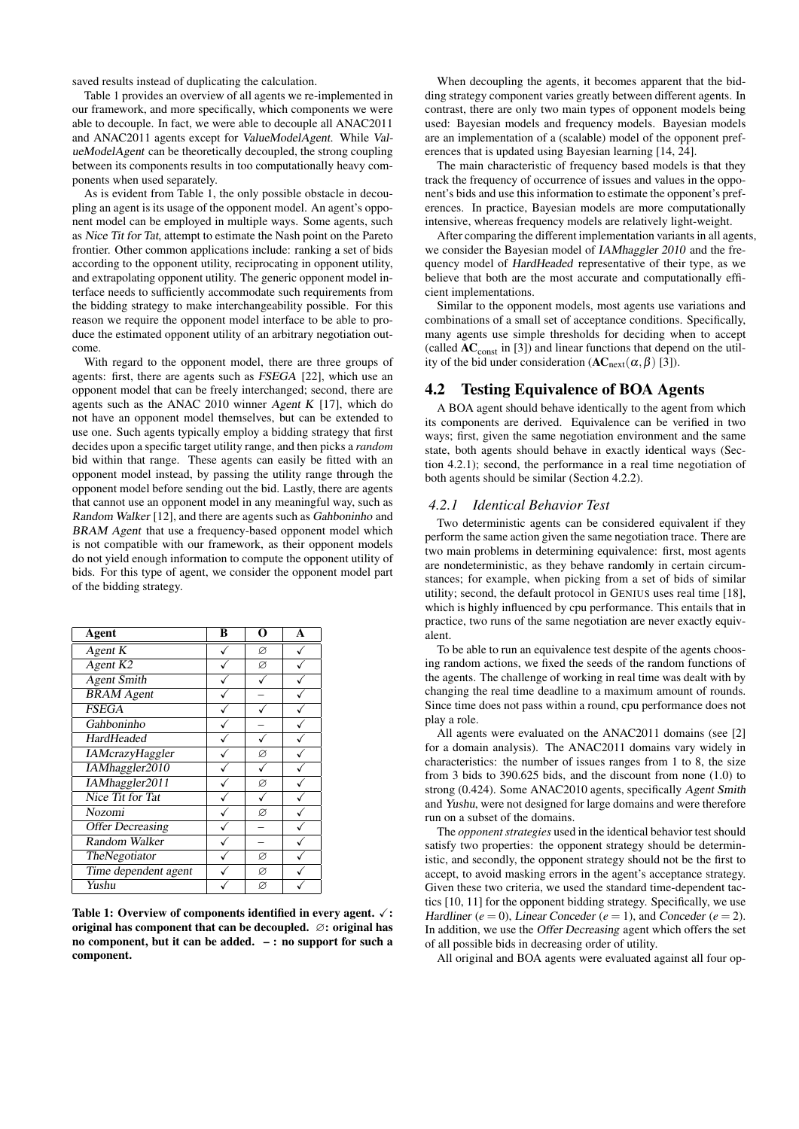saved results instead of duplicating the calculation.

Table 1 provides an overview of all agents we re-implemented in our framework, and more specifically, which components we were able to decouple. In fact, we were able to decouple all ANAC2011 and ANAC2011 agents except for ValueModelAgent. While ValueModelAgent can be theoretically decoupled, the strong coupling between its components results in too computationally heavy components when used separately.

As is evident from Table 1, the only possible obstacle in decoupling an agent is its usage of the opponent model. An agent's opponent model can be employed in multiple ways. Some agents, such as Nice Tit for Tat, attempt to estimate the Nash point on the Pareto frontier. Other common applications include: ranking a set of bids according to the opponent utility, reciprocating in opponent utility, and extrapolating opponent utility. The generic opponent model interface needs to sufficiently accommodate such requirements from the bidding strategy to make interchangeability possible. For this reason we require the opponent model interface to be able to produce the estimated opponent utility of an arbitrary negotiation outcome.

With regard to the opponent model, there are three groups of agents: first, there are agents such as FSEGA [22], which use an opponent model that can be freely interchanged; second, there are agents such as the ANAC 2010 winner Agent K  $[17]$ , which do not have an opponent model themselves, but can be extended to use one. Such agents typically employ a bidding strategy that first decides upon a specific target utility range, and then picks a *random* bid within that range. These agents can easily be fitted with an opponent model instead, by passing the utility range through the opponent model before sending out the bid. Lastly, there are agents that cannot use an opponent model in any meaningful way, such as Random Walker [12], and there are agents such as Gahboninho and BRAM Agent that use a frequency-based opponent model which is not compatible with our framework, as their opponent models do not yield enough information to compute the opponent utility of bids. For this type of agent, we consider the opponent model part of the bidding strategy.

| Agent                   | B | О | A |
|-------------------------|---|---|---|
| Agent $K$               |   | Ø |   |
| Agent $K2$              |   | Ø |   |
| <b>Agent Smith</b>      |   |   |   |
| <b>BRAM</b> Agent       |   |   |   |
| <b>FSEGA</b>            |   |   |   |
| Gahboninho              |   |   |   |
| HardHeaded              |   |   |   |
| IAMcrazyHaggler         |   | Ø |   |
| IAMhaggler2010          |   |   |   |
| IAMhaggler2011          |   | Ø |   |
| <b>Nice Tit for Tat</b> |   |   |   |
| Nozomi                  |   | Ø |   |
| <b>Offer Decreasing</b> |   |   |   |
| <b>Random Walker</b>    |   |   |   |
| TheNegotiator           |   | Ø |   |
| Time dependent agent    |   | Ø |   |
| Yushu                   |   | Ø |   |

Table 1: Overview of components identified in every agent.  $\sqrt{\cdot}$ : original has component that can be decoupled. ∅: original has no component, but it can be added. – : no support for such a component.

When decoupling the agents, it becomes apparent that the bidding strategy component varies greatly between different agents. In contrast, there are only two main types of opponent models being used: Bayesian models and frequency models. Bayesian models are an implementation of a (scalable) model of the opponent preferences that is updated using Bayesian learning [14, 24].

The main characteristic of frequency based models is that they track the frequency of occurrence of issues and values in the opponent's bids and use this information to estimate the opponent's preferences. In practice, Bayesian models are more computationally intensive, whereas frequency models are relatively light-weight.

After comparing the different implementation variants in all agents, we consider the Bayesian model of IAMhaggler 2010 and the frequency model of HardHeaded representative of their type, as we believe that both are the most accurate and computationally efficient implementations.

Similar to the opponent models, most agents use variations and combinations of a small set of acceptance conditions. Specifically, many agents use simple thresholds for deciding when to accept (called  $AC<sub>const</sub>$  in [3]) and linear functions that depend on the utility of the bid under consideration  $(AC_{next}(\alpha, \beta)$  [3]).

#### 4.2 Testing Equivalence of BOA Agents

A BOA agent should behave identically to the agent from which its components are derived. Equivalence can be verified in two ways; first, given the same negotiation environment and the same state, both agents should behave in exactly identical ways (Section 4.2.1); second, the performance in a real time negotiation of both agents should be similar (Section 4.2.2).

#### *4.2.1 Identical Behavior Test*

Two deterministic agents can be considered equivalent if they perform the same action given the same negotiation trace. There are two main problems in determining equivalence: first, most agents are nondeterministic, as they behave randomly in certain circumstances; for example, when picking from a set of bids of similar utility; second, the default protocol in GENIUS uses real time [18], which is highly influenced by cpu performance. This entails that in practice, two runs of the same negotiation are never exactly equivalent.

To be able to run an equivalence test despite of the agents choosing random actions, we fixed the seeds of the random functions of the agents. The challenge of working in real time was dealt with by changing the real time deadline to a maximum amount of rounds. Since time does not pass within a round, cpu performance does not play a role.

All agents were evaluated on the ANAC2011 domains (see [2] for a domain analysis). The ANAC2011 domains vary widely in characteristics: the number of issues ranges from 1 to 8, the size from 3 bids to 390.625 bids, and the discount from none (1.0) to strong (0.424). Some ANAC2010 agents, specifically Agent Smith and Yushu, were not designed for large domains and were therefore run on a subset of the domains.

The *opponent strategies* used in the identical behavior test should satisfy two properties: the opponent strategy should be deterministic, and secondly, the opponent strategy should not be the first to accept, to avoid masking errors in the agent's acceptance strategy. Given these two criteria, we used the standard time-dependent tactics [10, 11] for the opponent bidding strategy. Specifically, we use Hardliner ( $e = 0$ ), Linear Conceder ( $e = 1$ ), and Conceder ( $e = 2$ ). In addition, we use the Offer Decreasing agent which offers the set of all possible bids in decreasing order of utility.

All original and BOA agents were evaluated against all four op-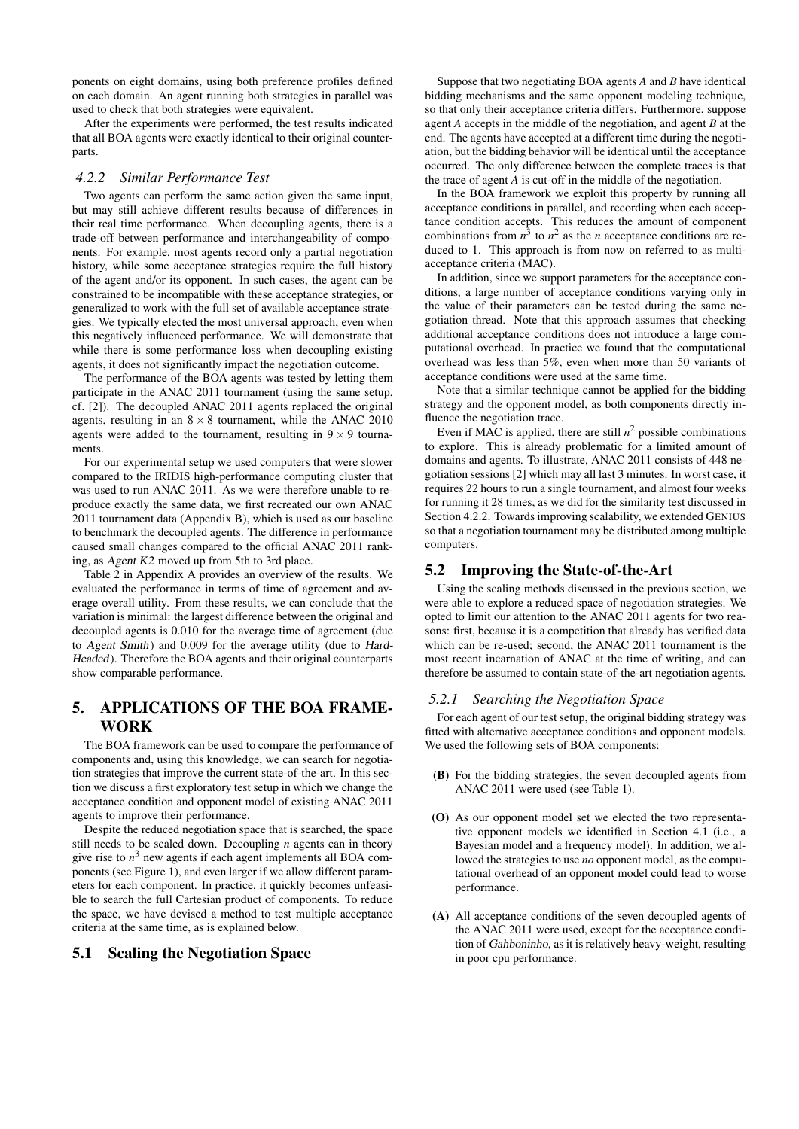ponents on eight domains, using both preference profiles defined on each domain. An agent running both strategies in parallel was used to check that both strategies were equivalent.

After the experiments were performed, the test results indicated that all BOA agents were exactly identical to their original counterparts.

#### *4.2.2 Similar Performance Test*

Two agents can perform the same action given the same input, but may still achieve different results because of differences in their real time performance. When decoupling agents, there is a trade-off between performance and interchangeability of components. For example, most agents record only a partial negotiation history, while some acceptance strategies require the full history of the agent and/or its opponent. In such cases, the agent can be constrained to be incompatible with these acceptance strategies, or generalized to work with the full set of available acceptance strategies. We typically elected the most universal approach, even when this negatively influenced performance. We will demonstrate that while there is some performance loss when decoupling existing agents, it does not significantly impact the negotiation outcome.

The performance of the BOA agents was tested by letting them participate in the ANAC 2011 tournament (using the same setup, cf. [2]). The decoupled ANAC 2011 agents replaced the original agents, resulting in an  $8 \times 8$  tournament, while the ANAC 2010 agents were added to the tournament, resulting in  $9 \times 9$  tournaments.

For our experimental setup we used computers that were slower compared to the IRIDIS high-performance computing cluster that was used to run ANAC 2011. As we were therefore unable to reproduce exactly the same data, we first recreated our own ANAC 2011 tournament data (Appendix B), which is used as our baseline to benchmark the decoupled agents. The difference in performance caused small changes compared to the official ANAC 2011 ranking, as Agent K2 moved up from 5th to 3rd place.

Table 2 in Appendix A provides an overview of the results. We evaluated the performance in terms of time of agreement and average overall utility. From these results, we can conclude that the variation is minimal: the largest difference between the original and decoupled agents is 0.010 for the average time of agreement (due to Agent Smith) and 0.009 for the average utility (due to Hard-Headed). Therefore the BOA agents and their original counterparts show comparable performance.

# 5. APPLICATIONS OF THE BOA FRAME-WORK

The BOA framework can be used to compare the performance of components and, using this knowledge, we can search for negotiation strategies that improve the current state-of-the-art. In this section we discuss a first exploratory test setup in which we change the acceptance condition and opponent model of existing ANAC 2011 agents to improve their performance.

Despite the reduced negotiation space that is searched, the space still needs to be scaled down. Decoupling *n* agents can in theory give rise to  $n<sup>3</sup>$  new agents if each agent implements all BOA components (see Figure 1), and even larger if we allow different parameters for each component. In practice, it quickly becomes unfeasible to search the full Cartesian product of components. To reduce the space, we have devised a method to test multiple acceptance criteria at the same time, as is explained below.

#### 5.1 Scaling the Negotiation Space

Suppose that two negotiating BOA agents *A* and *B* have identical bidding mechanisms and the same opponent modeling technique, so that only their acceptance criteria differs. Furthermore, suppose agent *A* accepts in the middle of the negotiation, and agent *B* at the end. The agents have accepted at a different time during the negotiation, but the bidding behavior will be identical until the acceptance occurred. The only difference between the complete traces is that the trace of agent *A* is cut-off in the middle of the negotiation.

In the BOA framework we exploit this property by running all acceptance conditions in parallel, and recording when each acceptance condition accepts. This reduces the amount of component combinations from  $n^3$  to  $n^2$  as the *n* acceptance conditions are reduced to 1. This approach is from now on referred to as multiacceptance criteria (MAC).

In addition, since we support parameters for the acceptance conditions, a large number of acceptance conditions varying only in the value of their parameters can be tested during the same negotiation thread. Note that this approach assumes that checking additional acceptance conditions does not introduce a large computational overhead. In practice we found that the computational overhead was less than 5%, even when more than 50 variants of acceptance conditions were used at the same time.

Note that a similar technique cannot be applied for the bidding strategy and the opponent model, as both components directly influence the negotiation trace.

Even if MAC is applied, there are still  $n^2$  possible combinations to explore. This is already problematic for a limited amount of domains and agents. To illustrate, ANAC 2011 consists of 448 negotiation sessions [2] which may all last 3 minutes. In worst case, it requires 22 hours to run a single tournament, and almost four weeks for running it 28 times, as we did for the similarity test discussed in Section 4.2.2. Towards improving scalability, we extended GENIUS so that a negotiation tournament may be distributed among multiple computers.

# 5.2 Improving the State-of-the-Art

Using the scaling methods discussed in the previous section, we were able to explore a reduced space of negotiation strategies. We opted to limit our attention to the ANAC 2011 agents for two reasons: first, because it is a competition that already has verified data which can be re-used; second, the ANAC 2011 tournament is the most recent incarnation of ANAC at the time of writing, and can therefore be assumed to contain state-of-the-art negotiation agents.

#### *5.2.1 Searching the Negotiation Space*

For each agent of our test setup, the original bidding strategy was fitted with alternative acceptance conditions and opponent models. We used the following sets of BOA components:

- (B) For the bidding strategies, the seven decoupled agents from ANAC 2011 were used (see Table 1).
- (O) As our opponent model set we elected the two representative opponent models we identified in Section 4.1 (i.e., a Bayesian model and a frequency model). In addition, we allowed the strategies to use *no* opponent model, as the computational overhead of an opponent model could lead to worse performance.
- (A) All acceptance conditions of the seven decoupled agents of the ANAC 2011 were used, except for the acceptance condition of Gahboninho, as it is relatively heavy-weight, resulting in poor cpu performance.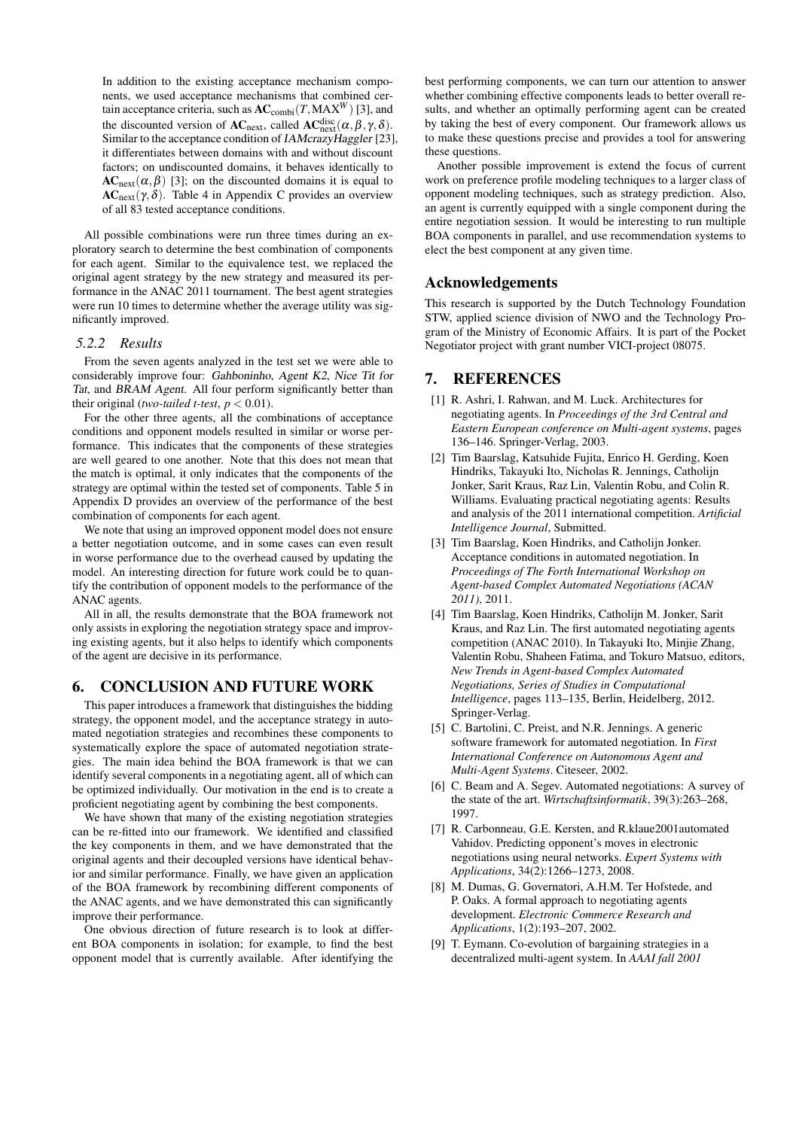In addition to the existing acceptance mechanism components, we used acceptance mechanisms that combined certain acceptance criteria, such as  $AC_{\text{combi}}(T, MAX^W)$  [3], and the discounted version of  $AC_{next}$ , called  $AC_{next}^{disc}(\alpha, \beta, \gamma, \delta)$ . Similar to the acceptance condition of IAMcrazyHaggler [23], it differentiates between domains with and without discount factors; on undiscounted domains, it behaves identically to  $AC<sub>next</sub>(\alpha, \beta)$  [3]; on the discounted domains it is equal to  $AC<sub>next</sub>(\gamma, \delta)$ . Table 4 in Appendix C provides an overview of all 83 tested acceptance conditions.

All possible combinations were run three times during an exploratory search to determine the best combination of components for each agent. Similar to the equivalence test, we replaced the original agent strategy by the new strategy and measured its performance in the ANAC 2011 tournament. The best agent strategies were run 10 times to determine whether the average utility was significantly improved.

#### *5.2.2 Results*

From the seven agents analyzed in the test set we were able to considerably improve four: Gahboninho, Agent K2, Nice Tit for Tat, and BRAM Agent. All four perform significantly better than their original (*two-tailed t-test*,  $p < 0.01$ ).

For the other three agents, all the combinations of acceptance conditions and opponent models resulted in similar or worse performance. This indicates that the components of these strategies are well geared to one another. Note that this does not mean that the match is optimal, it only indicates that the components of the strategy are optimal within the tested set of components. Table 5 in Appendix D provides an overview of the performance of the best combination of components for each agent.

We note that using an improved opponent model does not ensure a better negotiation outcome, and in some cases can even result in worse performance due to the overhead caused by updating the model. An interesting direction for future work could be to quantify the contribution of opponent models to the performance of the ANAC agents.

All in all, the results demonstrate that the BOA framework not only assists in exploring the negotiation strategy space and improving existing agents, but it also helps to identify which components of the agent are decisive in its performance.

### 6. CONCLUSION AND FUTURE WORK

This paper introduces a framework that distinguishes the bidding strategy, the opponent model, and the acceptance strategy in automated negotiation strategies and recombines these components to systematically explore the space of automated negotiation strategies. The main idea behind the BOA framework is that we can identify several components in a negotiating agent, all of which can be optimized individually. Our motivation in the end is to create a proficient negotiating agent by combining the best components.

We have shown that many of the existing negotiation strategies can be re-fitted into our framework. We identified and classified the key components in them, and we have demonstrated that the original agents and their decoupled versions have identical behavior and similar performance. Finally, we have given an application of the BOA framework by recombining different components of the ANAC agents, and we have demonstrated this can significantly improve their performance.

One obvious direction of future research is to look at different BOA components in isolation; for example, to find the best opponent model that is currently available. After identifying the

best performing components, we can turn our attention to answer whether combining effective components leads to better overall results, and whether an optimally performing agent can be created by taking the best of every component. Our framework allows us to make these questions precise and provides a tool for answering these questions.

Another possible improvement is extend the focus of current work on preference profile modeling techniques to a larger class of opponent modeling techniques, such as strategy prediction. Also, an agent is currently equipped with a single component during the entire negotiation session. It would be interesting to run multiple BOA components in parallel, and use recommendation systems to elect the best component at any given time.

#### Acknowledgements

This research is supported by the Dutch Technology Foundation STW, applied science division of NWO and the Technology Program of the Ministry of Economic Affairs. It is part of the Pocket Negotiator project with grant number VICI-project 08075.

#### 7. REFERENCES

- [1] R. Ashri, I. Rahwan, and M. Luck. Architectures for negotiating agents. In *Proceedings of the 3rd Central and Eastern European conference on Multi-agent systems*, pages 136–146. Springer-Verlag, 2003.
- [2] Tim Baarslag, Katsuhide Fujita, Enrico H. Gerding, Koen Hindriks, Takayuki Ito, Nicholas R. Jennings, Catholijn Jonker, Sarit Kraus, Raz Lin, Valentin Robu, and Colin R. Williams. Evaluating practical negotiating agents: Results and analysis of the 2011 international competition. *Artificial Intelligence Journal*, Submitted.
- [3] Tim Baarslag, Koen Hindriks, and Catholijn Jonker. Acceptance conditions in automated negotiation. In *Proceedings of The Forth International Workshop on Agent-based Complex Automated Negotiations (ACAN 2011)*, 2011.
- [4] Tim Baarslag, Koen Hindriks, Catholijn M. Jonker, Sarit Kraus, and Raz Lin. The first automated negotiating agents competition (ANAC 2010). In Takayuki Ito, Minjie Zhang, Valentin Robu, Shaheen Fatima, and Tokuro Matsuo, editors, *New Trends in Agent-based Complex Automated Negotiations, Series of Studies in Computational Intelligence*, pages 113–135, Berlin, Heidelberg, 2012. Springer-Verlag.
- [5] C. Bartolini, C. Preist, and N.R. Jennings. A generic software framework for automated negotiation. In *First International Conference on Autonomous Agent and Multi-Agent Systems*. Citeseer, 2002.
- [6] C. Beam and A. Segev. Automated negotiations: A survey of the state of the art. *Wirtschaftsinformatik*, 39(3):263–268, 1997.
- [7] R. Carbonneau, G.E. Kersten, and R.klaue2001automated Vahidov. Predicting opponent's moves in electronic negotiations using neural networks. *Expert Systems with Applications*, 34(2):1266–1273, 2008.
- [8] M. Dumas, G. Governatori, A.H.M. Ter Hofstede, and P. Oaks. A formal approach to negotiating agents development. *Electronic Commerce Research and Applications*, 1(2):193–207, 2002.
- [9] T. Eymann. Co-evolution of bargaining strategies in a decentralized multi-agent system. In *AAAI fall 2001*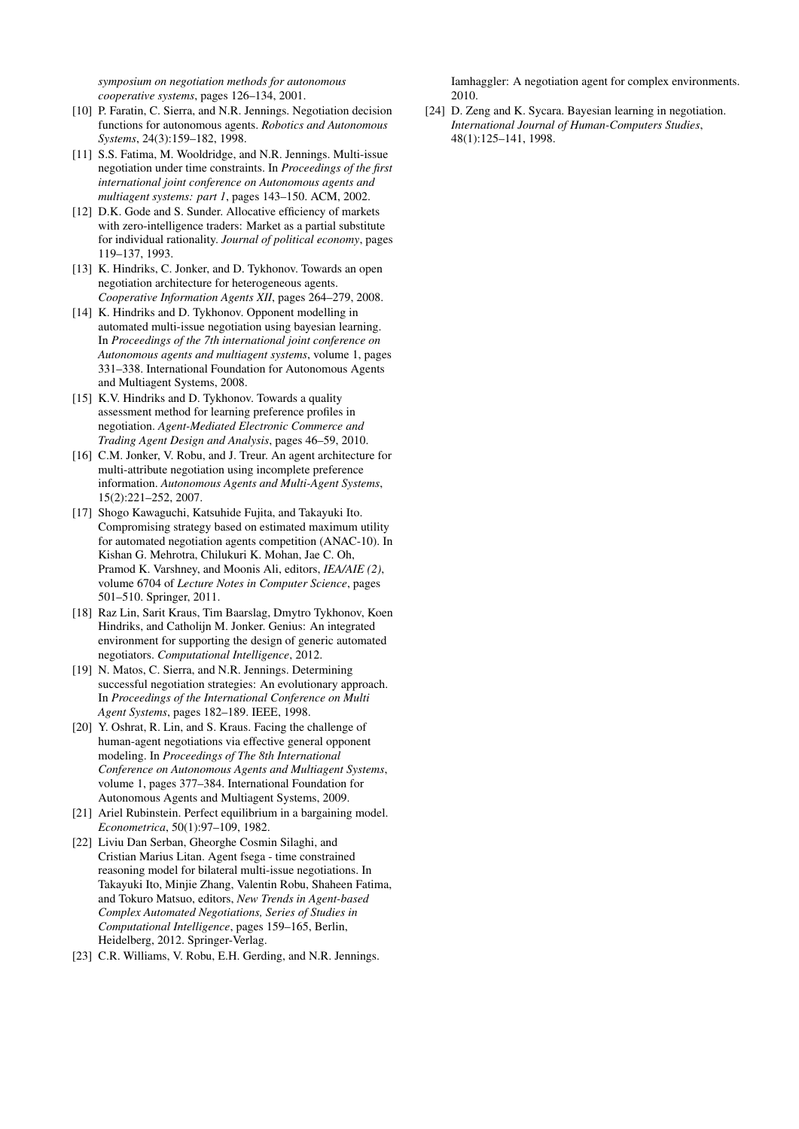*symposium on negotiation methods for autonomous cooperative systems*, pages 126–134, 2001.

- [10] P. Faratin, C. Sierra, and N.R. Jennings. Negotiation decision functions for autonomous agents. *Robotics and Autonomous Systems*, 24(3):159–182, 1998.
- [11] S.S. Fatima, M. Wooldridge, and N.R. Jennings. Multi-issue negotiation under time constraints. In *Proceedings of the first international joint conference on Autonomous agents and multiagent systems: part 1*, pages 143–150. ACM, 2002.
- [12] D.K. Gode and S. Sunder. Allocative efficiency of markets with zero-intelligence traders: Market as a partial substitute for individual rationality. *Journal of political economy*, pages 119–137, 1993.
- [13] K. Hindriks, C. Jonker, and D. Tykhonov. Towards an open negotiation architecture for heterogeneous agents. *Cooperative Information Agents XII*, pages 264–279, 2008.
- [14] K. Hindriks and D. Tykhonov. Opponent modelling in automated multi-issue negotiation using bayesian learning. In *Proceedings of the 7th international joint conference on Autonomous agents and multiagent systems*, volume 1, pages 331–338. International Foundation for Autonomous Agents and Multiagent Systems, 2008.
- [15] K.V. Hindriks and D. Tykhonov. Towards a quality assessment method for learning preference profiles in negotiation. *Agent-Mediated Electronic Commerce and Trading Agent Design and Analysis*, pages 46–59, 2010.
- [16] C.M. Jonker, V. Robu, and J. Treur. An agent architecture for multi-attribute negotiation using incomplete preference information. *Autonomous Agents and Multi-Agent Systems*, 15(2):221–252, 2007.
- [17] Shogo Kawaguchi, Katsuhide Fujita, and Takayuki Ito. Compromising strategy based on estimated maximum utility for automated negotiation agents competition (ANAC-10). In Kishan G. Mehrotra, Chilukuri K. Mohan, Jae C. Oh, Pramod K. Varshney, and Moonis Ali, editors, *IEA/AIE (2)*, volume 6704 of *Lecture Notes in Computer Science*, pages 501–510. Springer, 2011.
- [18] Raz Lin, Sarit Kraus, Tim Baarslag, Dmytro Tykhonov, Koen Hindriks, and Catholijn M. Jonker. Genius: An integrated environment for supporting the design of generic automated negotiators. *Computational Intelligence*, 2012.
- [19] N. Matos, C. Sierra, and N.R. Jennings. Determining successful negotiation strategies: An evolutionary approach. In *Proceedings of the International Conference on Multi Agent Systems*, pages 182–189. IEEE, 1998.
- [20] Y. Oshrat, R. Lin, and S. Kraus. Facing the challenge of human-agent negotiations via effective general opponent modeling. In *Proceedings of The 8th International Conference on Autonomous Agents and Multiagent Systems*, volume 1, pages 377–384. International Foundation for Autonomous Agents and Multiagent Systems, 2009.
- [21] Ariel Rubinstein. Perfect equilibrium in a bargaining model. *Econometrica*, 50(1):97–109, 1982.
- [22] Liviu Dan Serban, Gheorghe Cosmin Silaghi, and Cristian Marius Litan. Agent fsega - time constrained reasoning model for bilateral multi-issue negotiations. In Takayuki Ito, Minjie Zhang, Valentin Robu, Shaheen Fatima, and Tokuro Matsuo, editors, *New Trends in Agent-based Complex Automated Negotiations, Series of Studies in Computational Intelligence*, pages 159–165, Berlin, Heidelberg, 2012. Springer-Verlag.
- [23] C.R. Williams, V. Robu, E.H. Gerding, and N.R. Jennings.

Iamhaggler: A negotiation agent for complex environments. 2010.

[24] D. Zeng and K. Sycara. Bayesian learning in negotiation. *International Journal of Human-Computers Studies*, 48(1):125–141, 1998.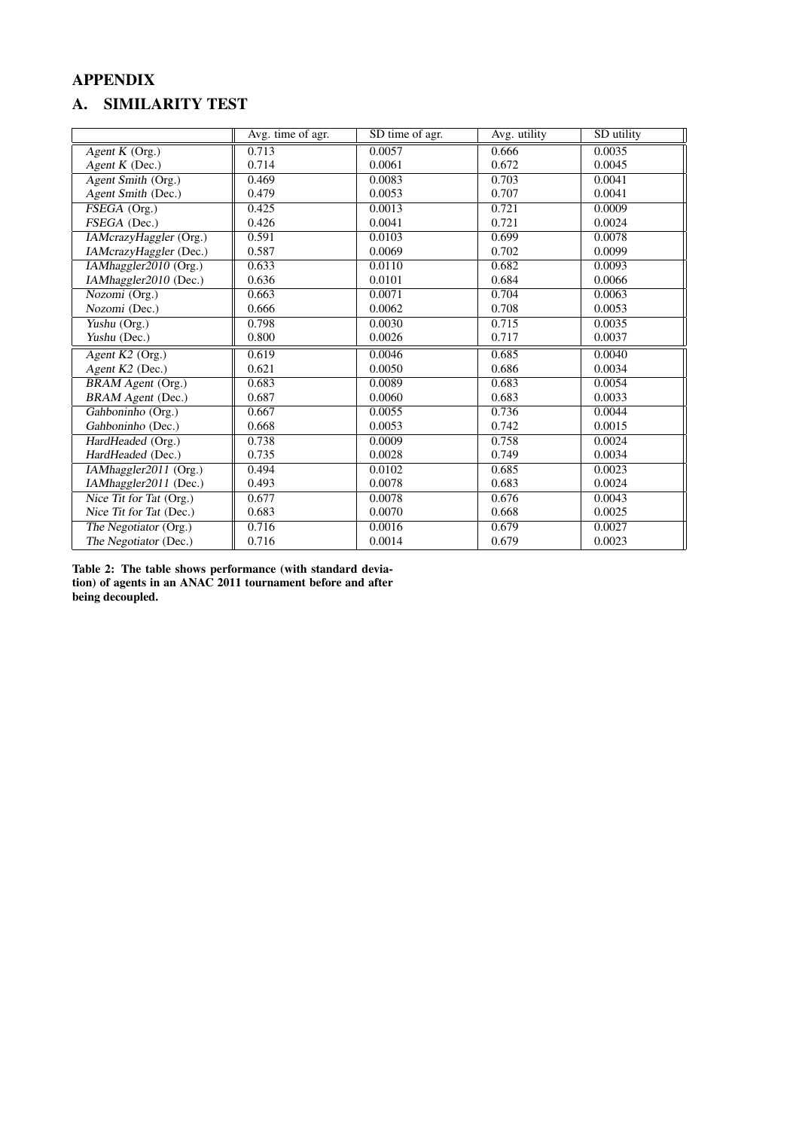# APPENDIX

# A. SIMILARITY TEST

|                           | Avg. time of agr. | SD time of agr. | Avg. utility | SD utility |
|---------------------------|-------------------|-----------------|--------------|------------|
| Agent $K$ (Org.)          | 0.713             | 0.0057          | 0.666        | 0.0035     |
| Agent K (Dec.)            | 0.714             | 0.0061          | 0.672        | 0.0045     |
| Agent Smith (Org.)        | 0.469             | 0.0083          | 0.703        | 0.0041     |
| Agent Smith (Dec.)        | 0.479             | 0.0053          | 0.707        | 0.0041     |
| FSEGA (Org.)              | 0.425             | 0.0013          | 0.721        | 0.0009     |
| FSEGA (Dec.)              | 0.426             | 0.0041          | 0.721        | 0.0024     |
| IAMcrazyHaggler (Org.)    | 0.591             | 0.0103          | 0.699        | 0.0078     |
| IAMcrazyHaggler (Dec.)    | 0.587             | 0.0069          | 0.702        | 0.0099     |
| IAMhaggler2010 (Org.)     | 0.633             | 0.0110          | 0.682        | 0.0093     |
| IAMhaggler2010 (Dec.)     | 0.636             | 0.0101          | 0.684        | 0.0066     |
| Nozomi (Org.)             | 0.663             | 0.0071          | 0.704        | 0.0063     |
| Nozomi (Dec.)             | 0.666             | 0.0062          | 0.708        | 0.0053     |
| Yushu (Org.)              | 0.798             | 0.0030          | 0.715        | 0.0035     |
| Yushu (Dec.)              | 0.800             | 0.0026          | 0.717        | 0.0037     |
| Agent K2 (Org.)           | 0.619             | 0.0046          | 0.685        | 0.0040     |
| Agent K2 (Dec.)           | 0.621             | 0.0050          | 0.686        | 0.0034     |
| BRAM Agent (Org.)         | 0.683             | 0.0089          | 0.683        | 0.0054     |
| <b>BRAM</b> Agent (Dec.)  | 0.687             | 0.0060          | 0.683        | 0.0033     |
| Gahboninho (Org.)         | 0.667             | 0.0055          | 0.736        | 0.0044     |
| Gahboninho (Dec.)         | 0.668             | 0.0053          | 0.742        | 0.0015     |
| HardHeaded (Org.)         | 0.738             | 0.0009          | 0.758        | 0.0024     |
| HardHeaded (Dec.)         | 0.735             | 0.0028          | 0.749        | 0.0034     |
| IAMhaggler2011 (Org.)     | 0.494             | 0.0102          | 0.685        | 0.0023     |
| IAMhaggler2011 (Dec.)     | 0.493             | 0.0078          | 0.683        | 0.0024     |
| Nice Tit for Tat $(Org.)$ | 0.677             | 0.0078          | 0.676        | 0.0043     |
| Nice Tit for Tat (Dec.)   | 0.683             | 0.0070          | 0.668        | 0.0025     |
| The Negotiator (Org.)     | 0.716             | 0.0016          | 0.679        | 0.0027     |
| The Negotiator (Dec.)     | 0.716             | 0.0014          | 0.679        | 0.0023     |

Table 2: The table shows performance (with standard deviation) of agents in an ANAC 2011 tournament before and after being decoupled.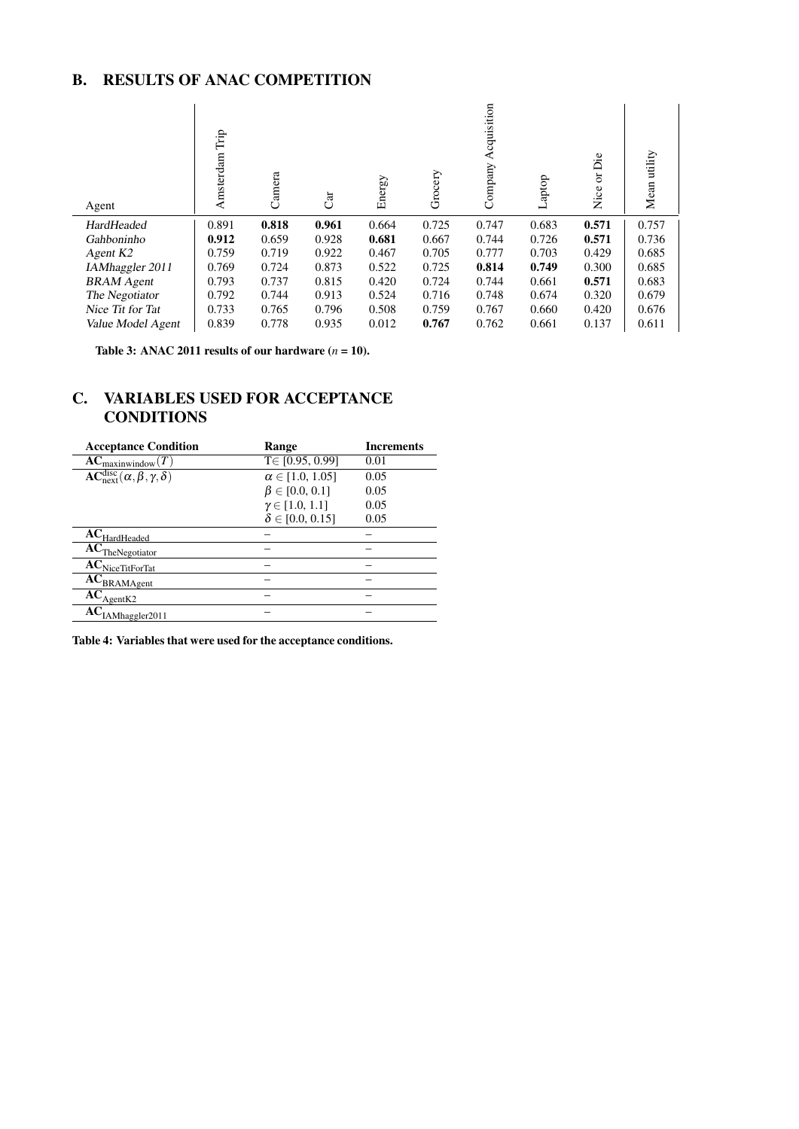# B. RESULTS OF ANAC COMPETITION

| Agent                | Trip<br>Amsterdam | Camera | $\mathbb{C}$ ar | Energy | Grocery | cquisition<br>Company | Laptop | Die<br>ð<br>Nice | utility<br>Mean |
|----------------------|-------------------|--------|-----------------|--------|---------|-----------------------|--------|------------------|-----------------|
| HardHeaded           | 0.891             | 0.818  | 0.961           | 0.664  | 0.725   | 0.747                 | 0.683  | 0.571            | 0.757           |
| Gahboninho           | 0.912             | 0.659  | 0.928           | 0.681  | 0.667   | 0.744                 | 0.726  | 0.571            | 0.736           |
| Agent K <sub>2</sub> | 0.759             | 0.719  | 0.922           | 0.467  | 0.705   | 0.777                 | 0.703  | 0.429            | 0.685           |
| IAMhaggler 2011      | 0.769             | 0.724  | 0.873           | 0.522  | 0.725   | 0.814                 | 0.749  | 0.300            | 0.685           |
| <b>BRAM</b> Agent    | 0.793             | 0.737  | 0.815           | 0.420  | 0.724   | 0.744                 | 0.661  | 0.571            | 0.683           |
| The Negotiator       | 0.792             | 0.744  | 0.913           | 0.524  | 0.716   | 0.748                 | 0.674  | 0.320            | 0.679           |
| Nice Tit for Tat     | 0.733             | 0.765  | 0.796           | 0.508  | 0.759   | 0.767                 | 0.660  | 0.420            | 0.676           |
| Value Model Agent    | 0.839             | 0.778  | 0.935           | 0.012  | 0.767   | 0.762                 | 0.661  | 0.137            | 0.611           |

Table 3: ANAC 2011 results of our hardware  $(n = 10)$ .

# C. VARIABLES USED FOR ACCEPTANCE **CONDITIONS**

| <b>Acceptance Condition</b>                                     | Range                    | <b>Increments</b> |
|-----------------------------------------------------------------|--------------------------|-------------------|
| $AC_{\text{maximum}}(T)$                                        | $T \in [0.95, 0.99]$     | 0.01              |
| $AC_{\text{next}}^{\text{disc}}(\alpha, \beta, \gamma, \delta)$ | $\alpha \in [1.0, 1.05]$ | 0.05              |
|                                                                 | $\beta \in [0.0, 0.1]$   | 0.05              |
|                                                                 | $\gamma \in [1.0, 1.1]$  | 0.05              |
|                                                                 | $\delta \in [0.0, 0.15]$ | 0.05              |
| $AC_{\text{HardHeaded}}$                                        |                          |                   |
| $AC$ TheNegotiator                                              |                          |                   |
| AC <sub>NiceTitForTat</sub>                                     |                          |                   |
| AC <sub>BRAMAgent</sub>                                         |                          |                   |
| $AC_{AgenK2}$                                                   |                          |                   |
| $AC_{\text{IAMhaggler}2011}$                                    |                          |                   |

Table 4: Variables that were used for the acceptance conditions.